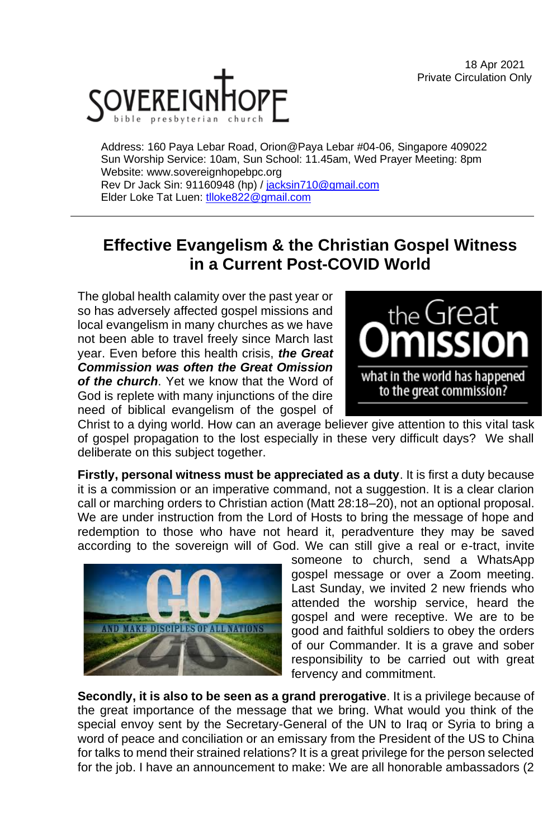18 Apr 2021 Private Circulation Only



Address: 160 Paya Lebar Road, Orion@Paya Lebar #04-06, Singapore 409022 Sun Worship Service: 10am, Sun School: 11.45am, Wed Prayer Meeting: 8pm Website: www.sovereignhopebpc.org Rev Dr Jack Sin: 91160948 (hp) / [jacksin710@gmail.com](mailto:jacksin710@gmail.com) Elder Loke Tat Luen: [tlloke822@gmail.com](mailto:tlloke822@gmail.com)

## **Effective Evangelism & the Christian Gospel Witness in a Current Post-COVID World**

The global health calamity over the past year or so has adversely affected gospel missions and local evangelism in many churches as we have not been able to travel freely since March last year. Even before this health crisis, *the Great Commission was often the Great Omission of the church*. Yet we know that the Word of God is replete with many injunctions of the dire need of biblical evangelism of the gospel of



Christ to a dying world. How can an average believer give attention to this vital task of gospel propagation to the lost especially in these very difficult days? We shall deliberate on this subject together.

**Firstly, personal witness must be appreciated as a duty**. It is first a duty because it is a commission or an imperative command, not a suggestion. It is a clear clarion call or marching orders to Christian action (Matt 28:18–20), not an optional proposal. We are under instruction from the Lord of Hosts to bring the message of hope and redemption to those who have not heard it, peradventure they may be saved according to the sovereign will of God. We can still give a real or e-tract, invite



someone to church, send a WhatsApp gospel message or over a Zoom meeting. Last Sunday, we invited 2 new friends who attended the worship service, heard the gospel and were receptive. We are to be good and faithful soldiers to obey the orders of our Commander. It is a grave and sober responsibility to be carried out with great fervency and commitment.

**Secondly, it is also to be seen as a grand prerogative**. It is a privilege because of the great importance of the message that we bring. What would you think of the special envoy sent by the Secretary-General of the UN to Iraq or Syria to bring a word of peace and conciliation or an emissary from the President of the US to China for talks to mend their strained relations? It is a great privilege for the person selected for the job. I have an announcement to make: We are all honorable ambassadors (2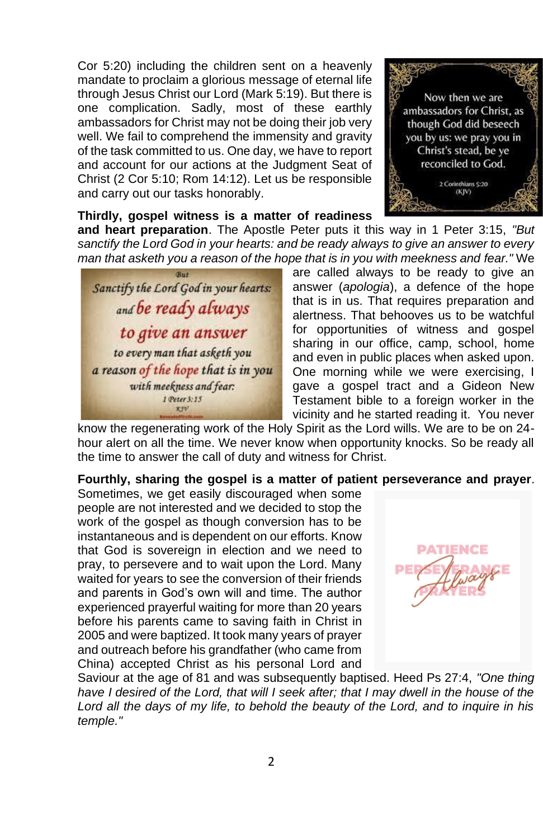Cor 5:20) including the children sent on a heavenly mandate to proclaim a glorious message of eternal life through Jesus Christ our Lord (Mark 5:19). But there is one complication. Sadly, most of these earthly ambassadors for Christ may not be doing their job very well. We fail to comprehend the immensity and gravity of the task committed to us. One day, we have to report and account for our actions at the Judgment Seat of Christ (2 Cor 5:10; Rom 14:12). Let us be responsible and carry out our tasks honorably.



#### **Thirdly, gospel witness is a matter of readiness**

**and heart preparation**. The Apostle Peter puts it this way in 1 Peter 3:15, *"But sanctify the Lord God in your hearts: and be ready always to give an answer to every man that asketh you a reason of the hope that is in you with meekness and fear."* We



are called always to be ready to give an answer (*apologia*), a defence of the hope that is in us. That requires preparation and alertness. That behooves us to be watchful for opportunities of witness and gospel sharing in our office, camp, school, home and even in public places when asked upon. One morning while we were exercising, I gave a gospel tract and a Gideon New Testament bible to a foreign worker in the vicinity and he started reading it. You never

know the regenerating work of the Holy Spirit as the Lord wills. We are to be on 24 hour alert on all the time. We never know when opportunity knocks. So be ready all the time to answer the call of duty and witness for Christ.

#### **Fourthly, sharing the gospel is a matter of patient perseverance and prayer**.

Sometimes, we get easily discouraged when some people are not interested and we decided to stop the work of the gospel as though conversion has to be instantaneous and is dependent on our efforts. Know that God is sovereign in election and we need to pray, to persevere and to wait upon the Lord. Many waited for years to see the conversion of their friends and parents in God's own will and time. The author experienced prayerful waiting for more than 20 years before his parents came to saving faith in Christ in 2005 and were baptized. It took many years of prayer and outreach before his grandfather (who came from China) accepted Christ as his personal Lord and



Saviour at the age of 81 and was subsequently baptised. Heed Ps 27:4, *"One thing*  have I desired of the Lord, that will I seek after; that I may dwell in the house of the *Lord all the days of my life, to behold the beauty of the Lord, and to inquire in his temple."*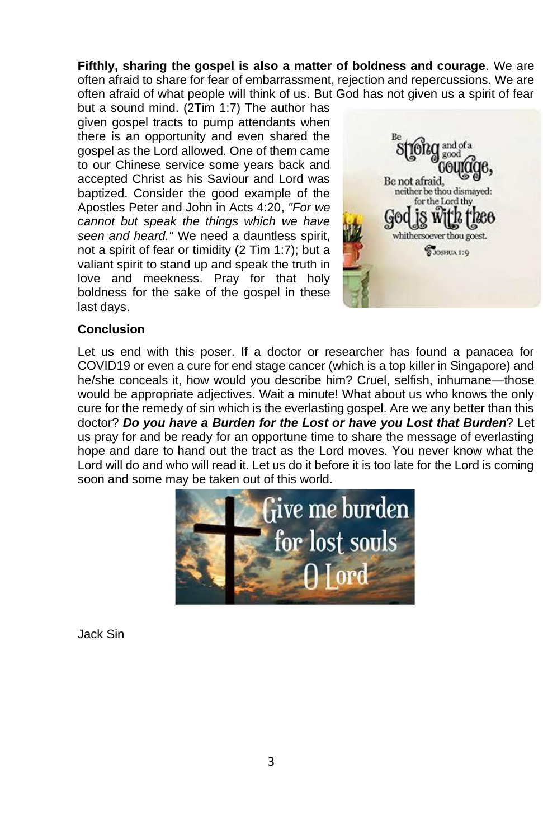**Fifthly, sharing the gospel is also a matter of boldness and courage**. We are often afraid to share for fear of embarrassment, rejection and repercussions. We are often afraid of what people will think of us. But God has not given us a spirit of fear

but a sound mind. (2Tim 1:7) The author has given gospel tracts to pump attendants when there is an opportunity and even shared the gospel as the Lord allowed. One of them came to our Chinese service some years back and accepted Christ as his Saviour and Lord was baptized. Consider the good example of the Apostles Peter and John in Acts 4:20, *"For we cannot but speak the things which we have seen and heard."* We need a dauntless spirit, not a spirit of fear or timidity (2 Tim 1:7); but a valiant spirit to stand up and speak the truth in love and meekness. Pray for that holy boldness for the sake of the gospel in these last days.



#### **Conclusion**

Let us end with this poser. If a doctor or researcher has found a panacea for COVID19 or even a cure for end stage cancer (which is a top killer in Singapore) and he/she conceals it, how would you describe him? Cruel, selfish, inhumane—those would be appropriate adjectives. Wait a minute! What about us who knows the only cure for the remedy of sin which is the everlasting gospel. Are we any better than this doctor? *Do you have a Burden for the Lost or have you Lost that Burden*? Let us pray for and be ready for an opportune time to share the message of everlasting hope and dare to hand out the tract as the Lord moves. You never know what the Lord will do and who will read it. Let us do it before it is too late for the Lord is coming soon and some may be taken out of this world.



Jack Sin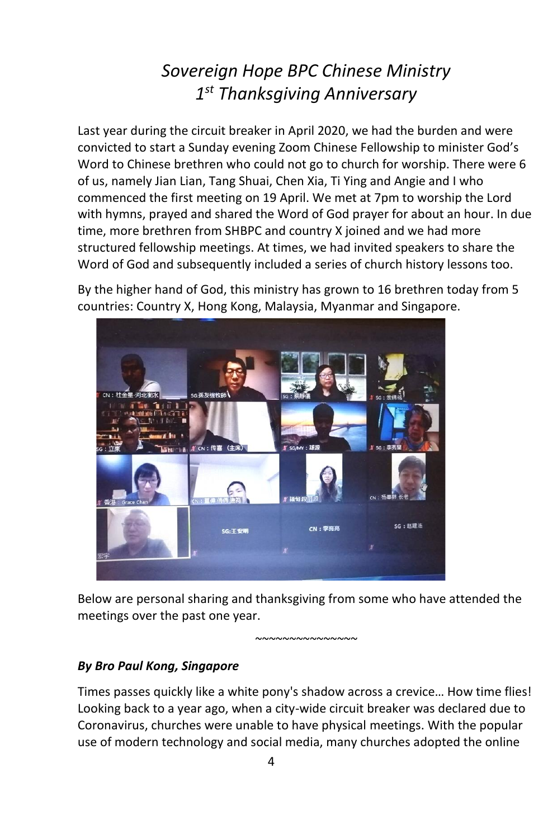# *Sovereign Hope BPC Chinese Ministry 1 st Thanksgiving Anniversary*

Last year during the circuit breaker in April 2020, we had the burden and were convicted to start a Sunday evening Zoom Chinese Fellowship to minister God's Word to Chinese brethren who could not go to church for worship. There were 6 of us, namely Jian Lian, Tang Shuai, Chen Xia, Ti Ying and Angie and I who commenced the first meeting on 19 April. We met at 7pm to worship the Lord with hymns, prayed and shared the Word of God prayer for about an hour. In due time, more brethren from SHBPC and country X joined and we had more structured fellowship meetings. At times, we had invited speakers to share the Word of God and subsequently included a series of church history lessons too.

By the higher hand of God, this ministry has grown to 16 brethren today from 5 countries: Country X, Hong Kong, Malaysia, Myanmar and Singapore.



Below are personal sharing and thanksgiving from some who have attended the meetings over the past one year.

*~~~~~~~~~~~~~~~*

#### *By Bro Paul Kong, Singapore*

Times passes quickly like a white pony's shadow across a crevice… How time flies! Looking back to a year ago, when a city-wide circuit breaker was declared due to Coronavirus, churches were unable to have physical meetings. With the popular use of modern technology and social media, many churches adopted the online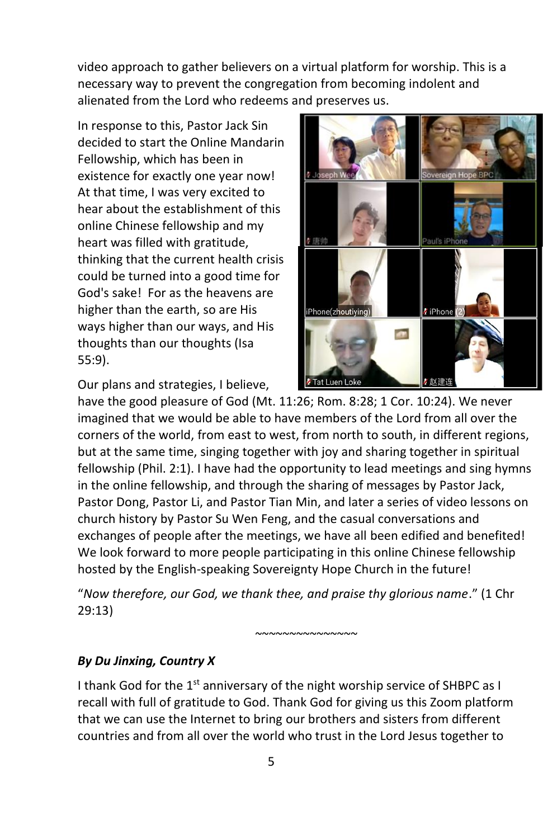video approach to gather believers on a virtual platform for worship. This is a necessary way to prevent the congregation from becoming indolent and alienated from the Lord who redeems and preserves us.

In response to this, Pastor Jack Sin decided to start the Online Mandarin Fellowship, which has been in existence for exactly one year now! At that time, I was very excited to hear about the establishment of this online Chinese fellowship and my heart was filled with gratitude, thinking that the current health crisis could be turned into a good time for God's sake! For as the heavens are higher than the earth, so are His ways higher than our ways, and His thoughts than our thoughts (Isa 55:9).

Our plans and strategies, I believe,



have the good pleasure of God (Mt. 11:26; Rom. 8:28; 1 Cor. 10:24). We never imagined that we would be able to have members of the Lord from all over the corners of the world, from east to west, from north to south, in different regions, but at the same time, singing together with joy and sharing together in spiritual fellowship (Phil. 2:1). I have had the opportunity to lead meetings and sing hymns in the online fellowship, and through the sharing of messages by Pastor Jack, Pastor Dong, Pastor Li, and Pastor Tian Min, and later a series of video lessons on church history by Pastor Su Wen Feng, and the casual conversations and exchanges of people after the meetings, we have all been edified and benefited! We look forward to more people participating in this online Chinese fellowship hosted by the English-speaking Sovereignty Hope Church in the future!

"*Now therefore, our God, we thank thee, and praise thy glorious name*." (1 Chr 29:13)

*~~~~~~~~~~~~~~~*

### *By Du Jinxing, Country X*

I thank God for the  $1<sup>st</sup>$  anniversary of the night worship service of SHBPC as I recall with full of gratitude to God. Thank God for giving us this Zoom platform that we can use the Internet to bring our brothers and sisters from different countries and from all over the world who trust in the Lord Jesus together to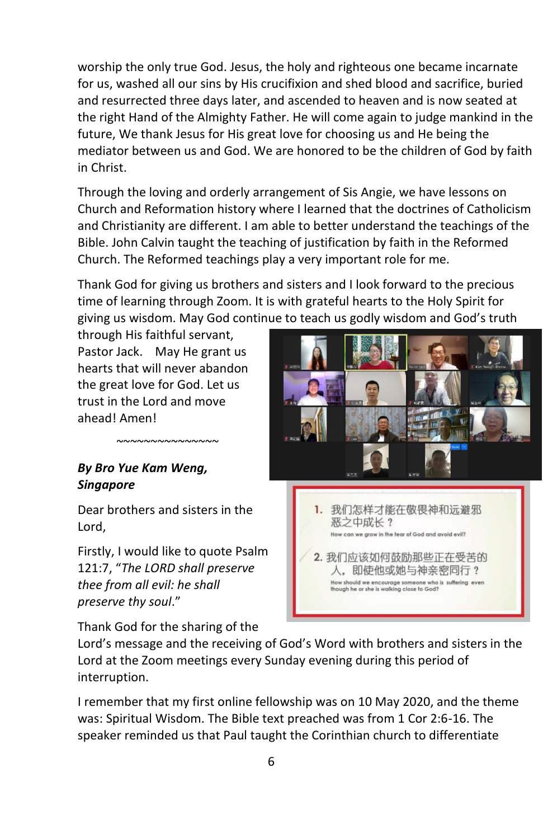worship the only true God. Jesus, the holy and righteous one became incarnate for us, washed all our sins by His crucifixion and shed blood and sacrifice, buried and resurrected three days later, and ascended to heaven and is now seated at the right Hand of the Almighty Father. He will come again to judge mankind in the future, We thank Jesus for His great love for choosing us and He being the mediator between us and God. We are honored to be the children of God by faith in Christ.

Through the loving and orderly arrangement of Sis Angie, we have lessons on Church and Reformation history where I learned that the doctrines of Catholicism and Christianity are different. I am able to better understand the teachings of the Bible. John Calvin taught the teaching of justification by faith in the Reformed Church. The Reformed teachings play a very important role for me.

Thank God for giving us brothers and sisters and I look forward to the precious time of learning through Zoom. It is with grateful hearts to the Holy Spirit for giving us wisdom. May God continue to teach us godly wisdom and God's truth

through His faithful servant, Pastor Jack. May He grant us hearts that will never abandon the great love for God. Let us trust in the Lord and move ahead! Amen!

### *By Bro Yue Kam Weng, Singapore*

*~~~~~~~~~~~~~~~*

Dear brothers and sisters in the Lord,

Firstly, I would like to quote Psalm 121:7, "*The LORD shall preserve thee from all evil: he shall preserve thy soul*."

Thank God for the sharing of the

1. 我们怎样才能在敬畏神和远避邪 恶之中成长? w can we grow in the tear of God and avoid evil?

2. 我们应该如何鼓励那些正在受苦的 人。即使他或她与神亲密同行? How should we encourage someone who is suffering even<br>though he or she is walking close to God?

Lord's message and the receiving of God's Word with brothers and sisters in the Lord at the Zoom meetings every Sunday evening during this period of interruption.

I remember that my first online fellowship was on 10 May 2020, and the theme was: Spiritual Wisdom. The Bible text preached was from 1 Cor 2:6-16. The speaker reminded us that Paul taught the Corinthian church to differentiate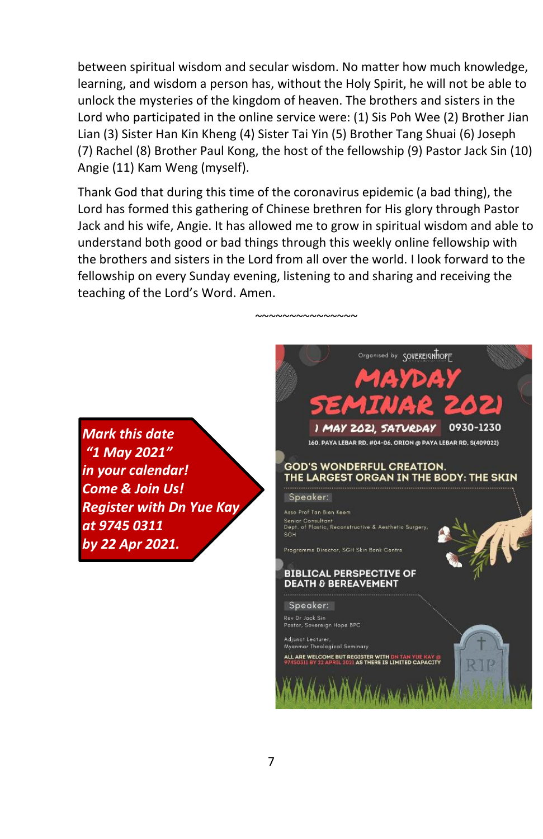between spiritual wisdom and secular wisdom. No matter how much knowledge, learning, and wisdom a person has, without the Holy Spirit, he will not be able to unlock the mysteries of the kingdom of heaven. The brothers and sisters in the Lord who participated in the online service were: (1) Sis Poh Wee (2) Brother Jian Lian (3) Sister Han Kin Kheng (4) Sister Tai Yin (5) Brother Tang Shuai (6) Joseph (7) Rachel (8) Brother Paul Kong, the host of the fellowship (9) Pastor Jack Sin (10) Angie (11) Kam Weng (myself).

Thank God that during this time of the coronavirus epidemic (a bad thing), the Lord has formed this gathering of Chinese brethren for His glory through Pastor Jack and his wife, Angie. It has allowed me to grow in spiritual wisdom and able to understand both good or bad things through this weekly online fellowship with the brothers and sisters in the Lord from all over the world. I look forward to the fellowship on every Sunday evening, listening to and sharing and receiving the teaching of the Lord's Word. Amen.

*~~~~~~~~~~~~~~~*

*Mark this date "1 May 2021" in your calendar! Come & Join Us! Register with Dn Yue Kay at 9745 0311 by 22 Apr 2021.*